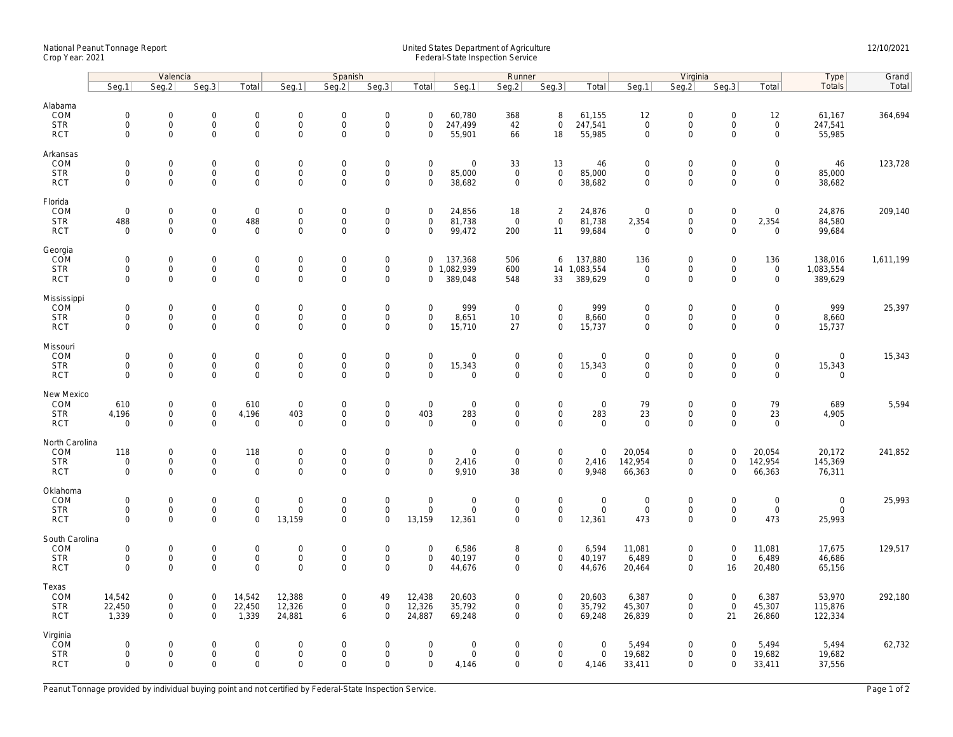## National Peanut Tonnage Report United States Department of Agriculture 12/10/2021<br>Crop Year: 2021 Federal-State Inspection Service

|                                                    | Valencia                                  |                                                            |                                                   |                                                            | Spanish                                         |                                                   |                                                                   |                                                   | Runner                                              |                                                   |                                                    |                                           |                                                   | Virginia                                                          |                                                     | Type                                                       | Grand                                   |           |
|----------------------------------------------------|-------------------------------------------|------------------------------------------------------------|---------------------------------------------------|------------------------------------------------------------|-------------------------------------------------|---------------------------------------------------|-------------------------------------------------------------------|---------------------------------------------------|-----------------------------------------------------|---------------------------------------------------|----------------------------------------------------|-------------------------------------------|---------------------------------------------------|-------------------------------------------------------------------|-----------------------------------------------------|------------------------------------------------------------|-----------------------------------------|-----------|
|                                                    | Seq.1                                     | Seg.2                                                      | Seq.3                                             | Total                                                      | Seg.1                                           | Seq.2                                             | Seq.3                                                             | Total                                             | Seg.1                                               | Seq.2                                             | Seq.3                                              | Total                                     | Seg.1                                             | Seq.2                                                             | Seq.3                                               | Total                                                      | Totals                                  | Total     |
| Alabama<br>COM<br><b>STR</b><br><b>RCT</b>         | $\mathbf 0$<br>$\mathbf 0$<br>$\mathbf 0$ | $\mathbf 0$<br>0<br>$\mathbf 0$                            | $\mathbf 0$<br>$\mathsf{O}\xspace$<br>$\mathbf 0$ | $\mathbf 0$<br>$\mathsf{O}\xspace$<br>$\mathsf{O}$         | $\mathbf 0$<br>$\mathsf{O}$<br>$\mathbf 0$      | $\mathbf 0$<br>$\mathsf 0$<br>$\mathbf 0$         | $\mathbf 0$<br>$\mathsf{O}\xspace$<br>$\mathbf 0$                 | $\mathbf 0$<br>$\mathsf 0$<br>$\mathbf 0$         | 60,780<br>247,499<br>55,901                         | 368<br>42<br>66                                   | 8<br>$\mathsf{O}\xspace$<br>18                     | 61,155<br>247,541<br>55,985               | 12<br>$\mathsf{O}\xspace$<br>$\mathbf 0$          | $\mathbf 0$<br>$\mathsf{O}$<br>$\mathbf 0$                        | $\mathbf 0$<br>$\mathsf 0$<br>$\mathbf 0$           | 12<br>$\mathsf{O}\xspace$<br>$\mathsf{O}\xspace$           | 61,167<br>247,541<br>55,985             | 364,694   |
| Arkansas<br>COM<br><b>STR</b><br><b>RCT</b>        | $\mathbf 0$<br>$\mathbf 0$<br>$\mathbf 0$ | $\mathsf{O}\xspace$<br>$\mathsf{O}$<br>$\mathbf 0$         | $\mathbf 0$<br>$\mathbf 0$<br>$\mathbf 0$         | $\mathsf{O}\xspace$<br>$\mathbf 0$<br>$\mathbf 0$          | $\mathbf 0$<br>$\mathsf{O}$<br>$\mathsf{O}$     | $\mathbf 0$<br>$\mathbf 0$<br>$\mathbf 0$         | $\mathsf{O}\xspace$<br>$\mathsf{O}\xspace$<br>$\mathsf{O}\xspace$ | $\mathsf 0$<br>$\mathbf 0$<br>$\mathbf 0$         | $\mathsf{O}\xspace$<br>85,000<br>38,682             | 33<br>$\mathbf 0$<br>$\mathbf 0$                  | 13<br>$\mathsf 0$<br>$\mathbf 0$                   | 46<br>85,000<br>38,682                    | $\mathbf 0$<br>$\mathbf 0$<br>$\mathbf 0$         | $\mathsf{O}\xspace$<br>$\mathsf{O}$<br>$\mathsf{O}\xspace$        | $\mathbf 0$<br>$\mathbf 0$<br>$\mathbf 0$           | $\mathsf{O}\xspace$<br>$\mathsf{O}$<br>$\mathsf{O}$        | 46<br>85,000<br>38,682                  | 123,728   |
| Florida<br>COM<br><b>STR</b><br><b>RCT</b>         | $\mathbf 0$<br>488<br>$\mathbf 0$         | $\mathbf 0$<br>$\mathsf{O}$<br>$\mathbf 0$                 | $\mathbf 0$<br>$\mathsf{O}\xspace$<br>$\Omega$    | $\mathsf 0$<br>488<br>$\mathbf 0$                          | $\boldsymbol{0}$<br>$\mathsf{O}$<br>$\mathbf 0$ | $\mathbf 0$<br>$\mathsf{O}\xspace$<br>$\mathbf 0$ | $\mathsf{O}\xspace$<br>$\mathsf{O}\xspace$<br>$\mathbf 0$         | $\mathbf 0$<br>$\mathbf 0$<br>$\Omega$            | 24,856<br>81,738<br>99,472                          | 18<br>$\mathbf 0$<br>200                          | 2<br>$\mathsf 0$<br>11                             | 24,876<br>81,738<br>99,684                | $\mathbf 0$<br>2,354<br>$\overline{0}$            | $\mathbf 0$<br>$\mathsf{O}$<br>$\mathbf 0$                        | $\boldsymbol{0}$<br>$\mathsf{O}\xspace$<br>$\Omega$ | $\mathbf 0$<br>2,354<br>$\mathbf 0$                        | 24,876<br>84,580<br>99,684              | 209,140   |
| Georgia<br>COM<br><b>STR</b><br><b>RCT</b>         | $\mathbf 0$<br>$\mathbf 0$<br>$\mathbf 0$ | $\mathbf 0$<br>$\mathsf{O}\xspace$<br>$\mathbf 0$          | $\mathbf 0$<br>$\mathbf 0$<br>$\mathbf 0$         | $\mathsf{O}\xspace$<br>$\mathbf 0$<br>$\mathbf 0$          | $\boldsymbol{0}$<br>$\mathbf 0$<br>$\mathbf 0$  | $\mathbf 0$<br>$\mathsf 0$<br>$\mathbf 0$         | $\mathsf{O}\xspace$<br>$\mathsf 0$<br>$\mathbf 0$                 | 0<br>0                                            | 137,368<br>0 1,082,939<br>389,048                   | 506<br>600<br>548                                 | 6<br>14<br>33                                      | 137,880<br>1,083,554<br>389,629           | 136<br>$\mathbf 0$<br>$\mathbf 0$                 | $\mathsf{O}\xspace$<br>$\mathsf{O}\xspace$<br>$\mathbf 0$         | $\mathsf 0$<br>$\mathsf 0$<br>$\Omega$              | 136<br>$\mathbf 0$<br>$\mathbf 0$                          | 138,016<br>1,083,554<br>389,629         | 1,611,199 |
| Mississippi<br>COM<br><b>STR</b><br><b>RCT</b>     | $\mathbf 0$<br>$\mathbf 0$<br>$\mathbf 0$ | $\mathbf 0$<br>$\mathsf{O}\xspace$<br>$\mathbf{0}$         | $\mathbf 0$<br>$\mathbf 0$<br>$\mathbf 0$         | $\mathbf 0$<br>$\mathsf{O}\xspace$<br>$\mathbf 0$          | $\mathsf{O}$<br>$\mathsf{O}$<br>$\mathbf 0$     | $\mathbf 0$<br>$\mathsf 0$<br>$\mathbf 0$         | $\mathsf{O}\xspace$<br>$\mathsf{O}\xspace$<br>$\mathbf 0$         | $\mathbf 0$<br>$\mathbf 0$<br>$\mathbf 0$         | 999<br>8,651<br>15,710                              | $\overline{0}$<br>10<br>27                        | $\mathbf 0$<br>$\mathbf 0$<br>$\mathbf 0$          | 999<br>8,660<br>15,737                    | $\mathbf 0$<br>$\mathsf{O}\xspace$<br>$\mathbf 0$ | $\mathbf 0$<br>$\mathsf{O}\xspace$<br>$\mathbf 0$                 | $\mathbf 0$<br>$\mathbf 0$<br>$\Omega$              | $\mathbf 0$<br>$\mathbf 0$<br>$\mathbf 0$                  | 999<br>8,660<br>15,737                  | 25,397    |
| Missouri<br>COM<br><b>STR</b><br><b>RCT</b>        | $\mathbf 0$<br>$\mathbf 0$<br>$\mathbf 0$ | $\mathsf{O}\xspace$<br>$\mathsf{O}\xspace$<br>$\mathbf 0$  | $\mathbf 0$<br>$\mathbf 0$<br>$\mathbf 0$         | $\mathsf{O}\xspace$<br>$\mathsf{O}\xspace$<br>$\mathbf 0$  | $\mathbf 0$<br>$\boldsymbol{0}$<br>$\mathbf 0$  | $\mathbf 0$<br>$\mathbf 0$<br>$\mathbf 0$         | $\mathsf{O}\xspace$<br>$\mathsf{O}\xspace$<br>$\mathbf 0$         | $\mathsf 0$<br>$\mathsf{O}\xspace$<br>$\mathbf 0$ | $\mathsf{O}\xspace$<br>15,343<br>$\mathbf 0$        | $\mathsf 0$<br>$\mathsf{O}\xspace$<br>$\mathbf 0$ | $\mathbf 0$<br>$\mathsf{O}\xspace$<br>$\mathbf{0}$ | $\mathbf 0$<br>15,343<br>$\mathbf{0}$     | $\mathbf 0$<br>$\mathsf{O}\xspace$<br>$\mathbf 0$ | $\mathbf 0$<br>$\mathsf{O}\xspace$<br>$\mathbf 0$                 | $\mathsf 0$<br>$\mathbf 0$<br>$\mathbf 0$           | $\mathsf{O}\xspace$<br>$\mathsf{O}\xspace$<br>$\mathbf{0}$ | $\overline{0}$<br>15,343<br>$\mathbf 0$ | 15,343    |
| New Mexico<br>COM<br><b>STR</b><br><b>RCT</b>      | 610<br>4,196<br>$\mathbf 0$               | $\mathbf 0$<br>$\mathbf 0$<br>$\mathbf 0$                  | $\mathbf 0$<br>$\mathbf 0$<br>$\mathbf 0$         | 610<br>4,196<br>$\mathbf 0$                                | $\mathbf 0$<br>403<br>$\mathbf 0$               | $\mathbf 0$<br>$\mathbf 0$<br>0                   | $\mathsf{O}\xspace$<br>$\mathbf 0$<br>$\mathsf{O}\xspace$         | $\mathsf 0$<br>403<br>$\mathbf 0$                 | $\mathbf 0$<br>283<br>$\mathbf 0$                   | $\mathbf 0$<br>$\mathbf 0$<br>0                   | $\mathbf 0$<br>$\mathbf{0}$<br>$\mathbf 0$         | $\mathbf 0$<br>283<br>$\mathbf 0$         | 79<br>23<br>$\mathbf 0$                           | $\mathbf 0$<br>$\mathsf{O}\xspace$<br>$\mathsf{O}\xspace$         | $\mathbf 0$<br>$\mathbf 0$<br>$\Omega$              | 79<br>23<br>$\mathbf 0$                                    | 689<br>4,905<br>$\mathbf 0$             | 5,594     |
| North Carolina<br>COM<br><b>STR</b><br><b>RCT</b>  | 118<br>$\mathbf 0$<br>$\mathbf 0$         | $\mathsf{O}\xspace$<br>$\mathsf{O}\xspace$<br>$\mathbf{0}$ | $\mathbf 0$<br>$\mathsf{O}\xspace$<br>$\mathbf 0$ | 118<br>$\mathbf 0$<br>$\mathbf 0$                          | $\mathbf 0$<br>$\mathsf{O}$<br>$\mathbf{0}$     | $\mathbf 0$<br>$\mathbf 0$<br>$\mathbf 0$         | $\mathsf{O}\xspace$<br>$\mathsf 0$<br>$\mathbf 0$                 | $\mathsf 0$<br>$\mathsf 0$<br>$\Omega$            | $\mathbf 0$<br>2,416<br>9,910                       | $\mathbf 0$<br>$\mathbf 0$<br>38                  | $\mathsf{O}\xspace$<br>$\mathbf 0$<br>$\mathbf{0}$ | $\mathbf 0$<br>2,416<br>9,948             | 20,054<br>142,954<br>66,363                       | $\mathsf{O}\xspace$<br>$\mathsf{O}\xspace$<br>$\mathbf 0$         | $\mathsf 0$<br>$\mathbf 0$<br>0                     | 20,054<br>142,954<br>66,363                                | 20,172<br>145,369<br>76,311             | 241,852   |
| Oklahoma<br>COM<br><b>STR</b><br><b>RCT</b>        | $\mathbf 0$<br>$\mathbf 0$<br>$\Omega$    | 0<br>$\mathsf{O}\xspace$<br>$\mathbf 0$                    | $\mathbf 0$<br>$\mathbf 0$<br>$\mathbf 0$         | $\mathsf{O}\xspace$<br>$\mathbf 0$<br>$\mathbf{O}$         | $\boldsymbol{0}$<br>$\mathbf 0$<br>13,159       | $\mathbf 0$<br>$\mathbf 0$<br>$\Omega$            | $\mathsf{O}\xspace$<br>$\mathsf{O}\xspace$<br>$\mathbf 0$         | $\mathbf 0$<br>$\mathbf 0$<br>13,159              | $\mathsf{O}\xspace$<br>$\mathbf 0$<br>12,361        | $\mathbf 0$<br>$\mathbf 0$<br>$\mathbf 0$         | $\mathsf{O}\xspace$<br>$\mathbf 0$<br>$\mathbf 0$  | $\boldsymbol{0}$<br>$\mathbf 0$<br>12,361 | $\mathbf 0$<br>$\mathbf 0$<br>473                 | $\mathsf{O}\xspace$<br>$\mathsf{O}\xspace$<br>$\mathsf{O}\xspace$ | $\mathbf 0$<br>$\mathbf 0$<br>$\Omega$              | $\mathsf{O}\xspace$<br>$\mathbf 0$<br>473                  | $\mathbf 0$<br>$\mathbf 0$<br>25,993    | 25,993    |
| South Carolina<br>COM<br><b>STR</b><br><b>RCT</b>  | $\mathbf 0$<br>$\mathbf 0$<br>$\mathbf 0$ | $\mathsf{O}\xspace$<br>$\mathsf{O}\xspace$<br>$\mathbf 0$  | $\mathbf 0$<br>$\mathsf 0$<br>$\mathbf 0$         | $\mathsf{O}\xspace$<br>$\mathsf{O}\xspace$<br>$\mathbf{O}$ | $\mathbf 0$<br>$\mathbf 0$<br>$\mathbf 0$       | $\mathbf 0$<br>$\mathbf 0$<br>$\mathbf 0$         | $\mathsf{O}\xspace$<br>$\mathsf{O}\xspace$<br>$\mathbf 0$         | $\mathbf 0$<br>$\mathsf 0$<br>$\Omega$            | 6,586<br>40,197<br>44,676                           | 8<br>$\mathbf 0$<br>$\mathbf 0$                   | $\mathsf{O}\xspace$<br>$\mathbf 0$<br>$\mathbf 0$  | 6,594<br>40,197<br>44,676                 | 11,081<br>6,489<br>20,464                         | $\mathsf{O}\xspace$<br>$\mathsf{O}\xspace$<br>$\mathbf 0$         | $\mathbf 0$<br>$\mathsf 0$<br>16                    | 11,081<br>6,489<br>20,480                                  | 17,675<br>46,686<br>65,156              | 129,517   |
| Texas<br>COM<br><b>STR</b><br><b>RCT</b>           | 14,542<br>22,450<br>1,339                 | $\mathsf{O}\xspace$<br>$\mathbf 0$<br>$\mathbf{0}$         | $\mathbf 0$<br>$\mathbf 0$<br>$\mathbf 0$         | 14,542<br>22,450<br>1,339                                  | 12,388<br>12,326<br>24,881                      | $\mathbf 0$<br>$\mathbf{0}$<br>6                  | 49<br>$\mathbf 0$<br>$\mathbf 0$                                  | 12,438<br>12,326<br>24,887                        | 20,603<br>35,792<br>69,248                          | 0<br>$\mathbf 0$<br>$\mathbf 0$                   | $\mathbf 0$<br>$\mathbf{0}$<br>$\mathbf{0}$        | 20,603<br>35,792<br>69,248                | 6,387<br>45,307<br>26,839                         | $\mathsf{O}\xspace$<br>$\mathbf 0$<br>$\mathbf 0$                 | $\mathbf 0$<br>$\mathbf 0$<br>21                    | 6,387<br>45,307<br>26,860                                  | 53,970<br>115,876<br>122,334            | 292,180   |
| Virginia<br><b>COM</b><br><b>STR</b><br><b>RCT</b> | $\mathbf 0$<br>$\mathbf 0$<br>$\Omega$    | $\mathsf{O}\xspace$<br>$\mathsf{O}\xspace$<br>$\Omega$     | $\mathbf 0$<br>$\mathbf 0$<br>$\Omega$            | $\mathsf{O}\xspace$<br>$\mathsf{O}\xspace$<br>$\mathbf 0$  | $\mathbf 0$<br>$\mathbf 0$<br>$\Omega$          | $\mathbf 0$<br>$\mathbf 0$<br>$\Omega$            | $\mathsf{O}\xspace$<br>$\mathsf{O}\xspace$<br>$\Omega$            | $\mathbf 0$<br>$\mathbf 0$<br>$\Omega$            | $\mathsf{O}\xspace$<br>$\mathsf{O}\xspace$<br>4,146 | 0<br>0<br>$\Omega$                                | $\mathbf 0$<br>$\mathbf 0$<br>$\mathbf 0$          | $\mathbf 0$<br>$\mathbf 0$<br>4,146       | 5,494<br>19,682<br>33,411                         | $\mathsf{O}\xspace$<br>$\mathsf{O}\xspace$<br>$\Omega$            | $\mathbf 0$<br>$\mathbf 0$<br>$\Omega$              | 5,494<br>19,682<br>33,411                                  | 5,494<br>19,682<br>37,556               | 62,732    |

Peanut Tonnage provided by individual buying point and not certified by Federal-State Inspection Service. Page 1 of 2